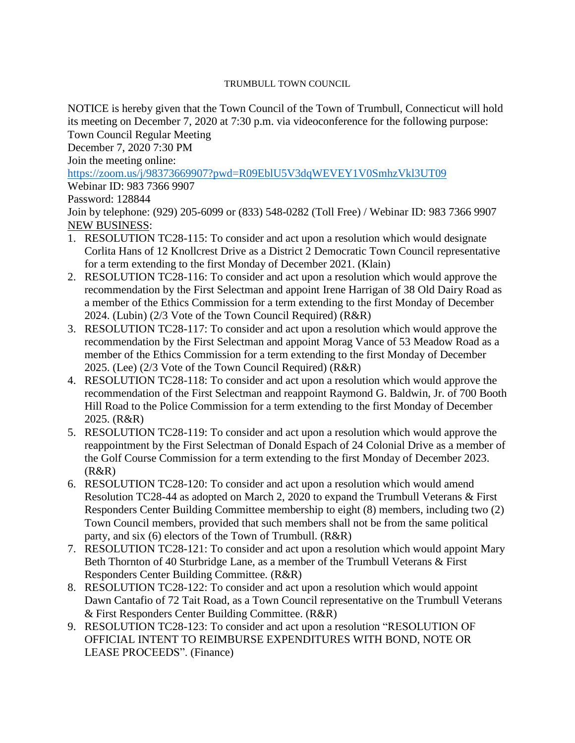## TRUMBULL TOWN COUNCIL

NOTICE is hereby given that the Town Council of the Town of Trumbull, Connecticut will hold its meeting on December 7, 2020 at 7:30 p.m. via videoconference for the following purpose: Town Council Regular Meeting

December 7, 2020 7:30 PM

Join the meeting online:

<https://zoom.us/j/98373669907?pwd=R09EblU5V3dqWEVEY1V0SmhzVkl3UT09>

Webinar ID: 983 7366 9907

## Password: 128844

Join by telephone: (929) 205-6099 or (833) 548-0282 (Toll Free) / Webinar ID: 983 7366 9907 NEW BUSINESS:

- 1. RESOLUTION TC28-115: To consider and act upon a resolution which would designate Corlita Hans of 12 Knollcrest Drive as a District 2 Democratic Town Council representative for a term extending to the first Monday of December 2021. (Klain)
- 2. RESOLUTION TC28-116: To consider and act upon a resolution which would approve the recommendation by the First Selectman and appoint Irene Harrigan of 38 Old Dairy Road as a member of the Ethics Commission for a term extending to the first Monday of December 2024. (Lubin) (2/3 Vote of the Town Council Required) (R&R)
- 3. RESOLUTION TC28-117: To consider and act upon a resolution which would approve the recommendation by the First Selectman and appoint Morag Vance of 53 Meadow Road as a member of the Ethics Commission for a term extending to the first Monday of December 2025. (Lee) (2/3 Vote of the Town Council Required) (R&R)
- 4. RESOLUTION TC28-118: To consider and act upon a resolution which would approve the recommendation of the First Selectman and reappoint Raymond G. Baldwin, Jr. of 700 Booth Hill Road to the Police Commission for a term extending to the first Monday of December 2025. (R&R)
- 5. RESOLUTION TC28-119: To consider and act upon a resolution which would approve the reappointment by the First Selectman of Donald Espach of 24 Colonial Drive as a member of the Golf Course Commission for a term extending to the first Monday of December 2023.  $(R&R)$
- 6. RESOLUTION TC28-120: To consider and act upon a resolution which would amend Resolution TC28-44 as adopted on March 2, 2020 to expand the Trumbull Veterans & First Responders Center Building Committee membership to eight (8) members, including two (2) Town Council members, provided that such members shall not be from the same political party, and six (6) electors of the Town of Trumbull. (R&R)
- 7. RESOLUTION TC28-121: To consider and act upon a resolution which would appoint Mary Beth Thornton of 40 Sturbridge Lane, as a member of the Trumbull Veterans & First Responders Center Building Committee. (R&R)
- 8. RESOLUTION TC28-122: To consider and act upon a resolution which would appoint Dawn Cantafio of 72 Tait Road, as a Town Council representative on the Trumbull Veterans & First Responders Center Building Committee. (R&R)
- 9. RESOLUTION TC28-123: To consider and act upon a resolution "RESOLUTION OF OFFICIAL INTENT TO REIMBURSE EXPENDITURES WITH BOND, NOTE OR LEASE PROCEEDS". (Finance)